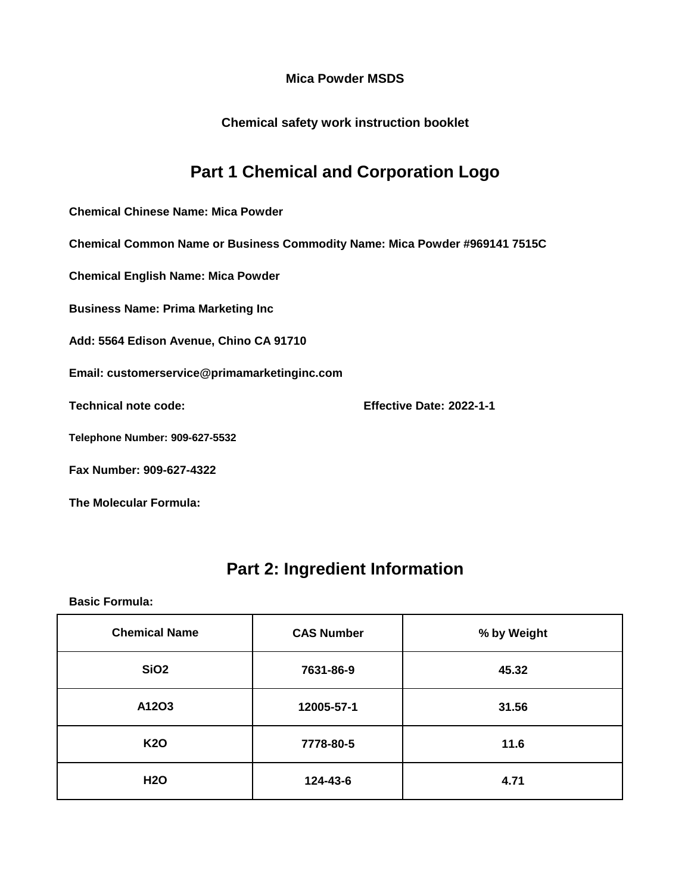**Chemical safety work instruction booklet**

## **Part 1 Chemical and Corporation Logo**

**Chemical Chinese Name: Mica Powder**

**Chemical Common Name or Business Commodity Name: Mica Powder #969141 7515C**

**Chemical English Name: Mica Powder**

**Business Name: Prima Marketing Inc**

**Add: 5564 Edison Avenue, Chino CA 91710**

**Email: customerservice@primamarketinginc.com**

**Technical note code: Effective Date: 2022-1-1**

**Telephone Number: 909-627-5532**

**Fax Number: 909-627-4322**

**The Molecular Formula:**

### **Part 2: Ingredient Information**

| <b>Chemical Name</b> | <b>CAS Number</b> | % by Weight |
|----------------------|-------------------|-------------|
| <b>SiO2</b>          | 7631-86-9         | 45.32       |
| A12O3                | 12005-57-1        | 31.56       |
| <b>K20</b>           | 7778-80-5         | 11.6        |
| <b>H2O</b>           | 124-43-6          | 4.71        |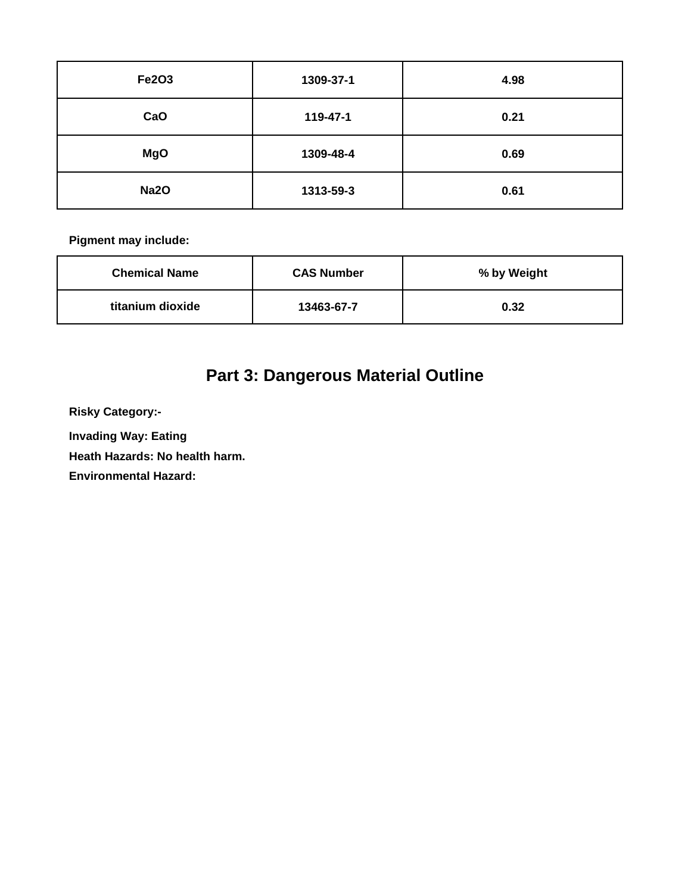| <b>Fe2O3</b> | 1309-37-1 | 4.98 |
|--------------|-----------|------|
| CaO          | 119-47-1  | 0.21 |
| <b>MgO</b>   | 1309-48-4 | 0.69 |
| <b>Na2O</b>  | 1313-59-3 | 0.61 |

| <b>Chemical Name</b> | <b>CAS Number</b> | % by Weight |
|----------------------|-------------------|-------------|
| titanium dioxide     | 13463-67-7        | 0.32        |

# **Part 3: Dangerous Material Outline**

**Risky Category:-**

**Invading Way: Eating** 

**Heath Hazards: No health harm.**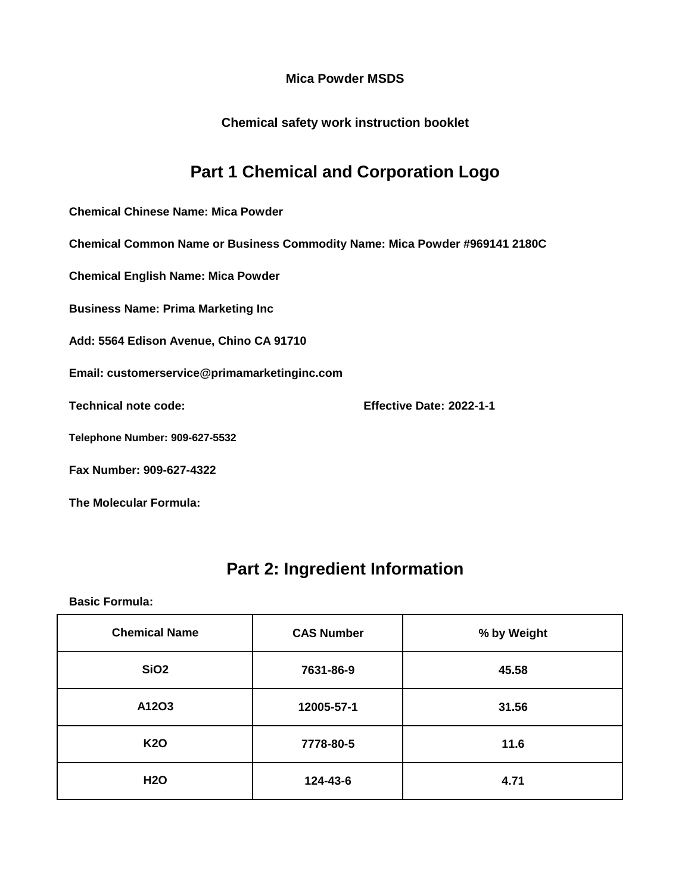**Chemical safety work instruction booklet**

## **Part 1 Chemical and Corporation Logo**

**Chemical Chinese Name: Mica Powder**

**Chemical Common Name or Business Commodity Name: Mica Powder #969141 2180C**

**Chemical English Name: Mica Powder**

**Business Name: Prima Marketing Inc**

**Add: 5564 Edison Avenue, Chino CA 91710**

**Email: customerservice@primamarketinginc.com**

**Technical note code: Effective Date: 2022-1-1**

**Telephone Number: 909-627-5532**

**Fax Number: 909-627-4322**

**The Molecular Formula:**

### **Part 2: Ingredient Information**

| <b>Chemical Name</b> | <b>CAS Number</b> | % by Weight |
|----------------------|-------------------|-------------|
| SiO <sub>2</sub>     | 7631-86-9         | 45.58       |
| A12O3                | 12005-57-1        | 31.56       |
| <b>K20</b>           | 7778-80-5         | 11.6        |
| <b>H2O</b>           | 124-43-6          | 4.71        |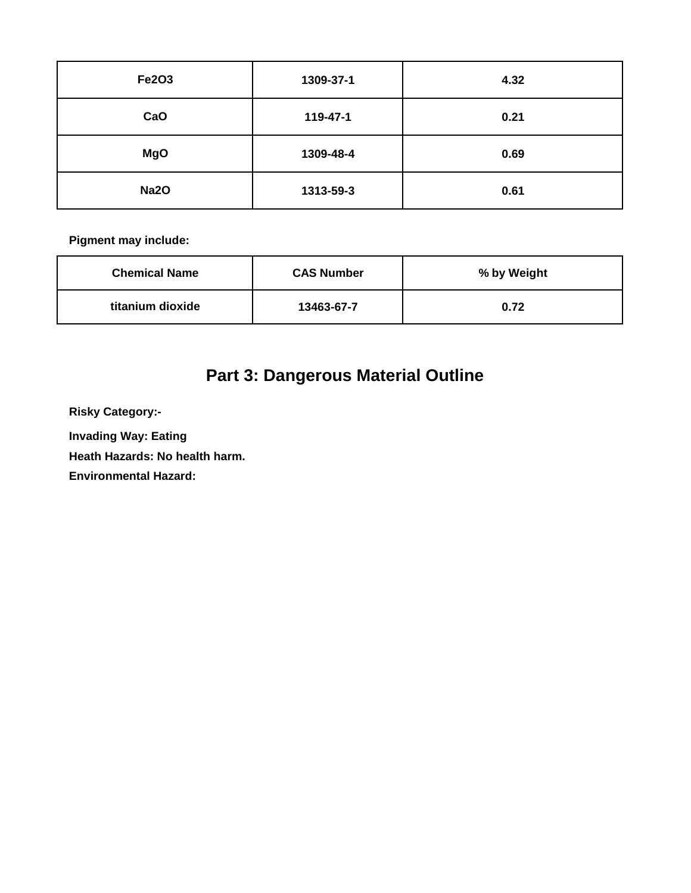| <b>Fe2O3</b> | 1309-37-1 | 4.32 |
|--------------|-----------|------|
| CaO          | 119-47-1  | 0.21 |
| <b>MgO</b>   | 1309-48-4 | 0.69 |
| <b>Na2O</b>  | 1313-59-3 | 0.61 |

| <b>Chemical Name</b> | <b>CAS Number</b> | % by Weight |
|----------------------|-------------------|-------------|
| titanium dioxide     | 13463-67-7        | 0.72        |

# **Part 3: Dangerous Material Outline**

**Risky Category:-**

**Invading Way: Eating** 

**Heath Hazards: No health harm.**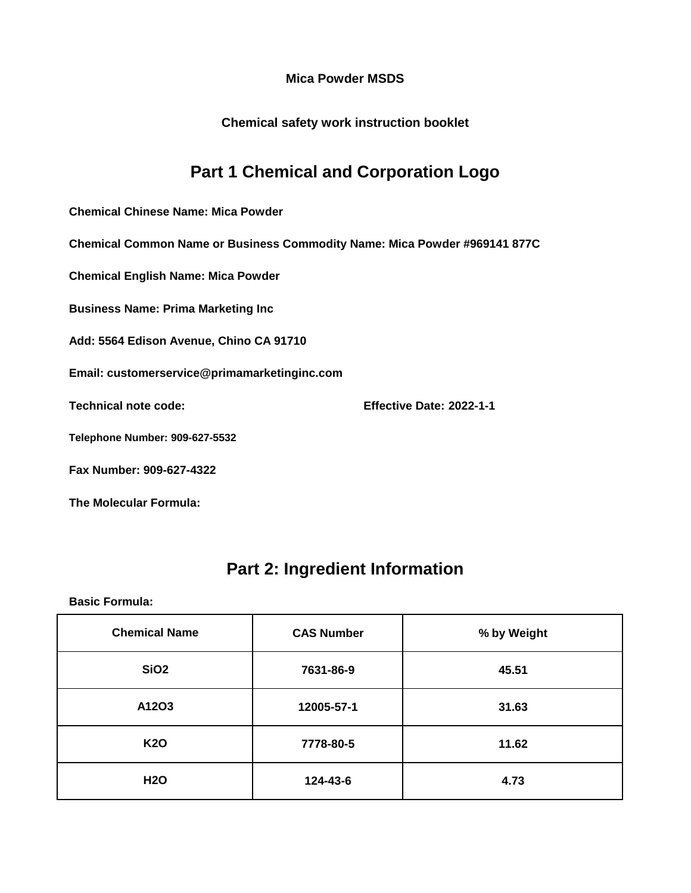**Chemical safety work instruction booklet**

## **Part 1 Chemical and Corporation Logo**

**Chemical Chinese Name: Mica Powder**

**Chemical Common Name or Business Commodity Name: Mica Powder #969141 877C**

**Chemical English Name: Mica Powder**

**Business Name: Prima Marketing Inc**

**Add: 5564 Edison Avenue, Chino CA 91710**

**Email: customerservice@primamarketinginc.com**

**Technical note code: Effective Date: 2022-1-1**

**Telephone Number: 909-627-5532**

**Fax Number: 909-627-4322**

**The Molecular Formula:**

### **Part 2: Ingredient Information**

| <b>Chemical Name</b> | <b>CAS Number</b> | % by Weight |
|----------------------|-------------------|-------------|
| SiO <sub>2</sub>     | 7631-86-9         | 45.51       |
| A12O3                | 12005-57-1        | 31.63       |
| <b>K20</b>           | 7778-80-5         | 11.62       |
| <b>H2O</b>           | 124-43-6          | 4.73        |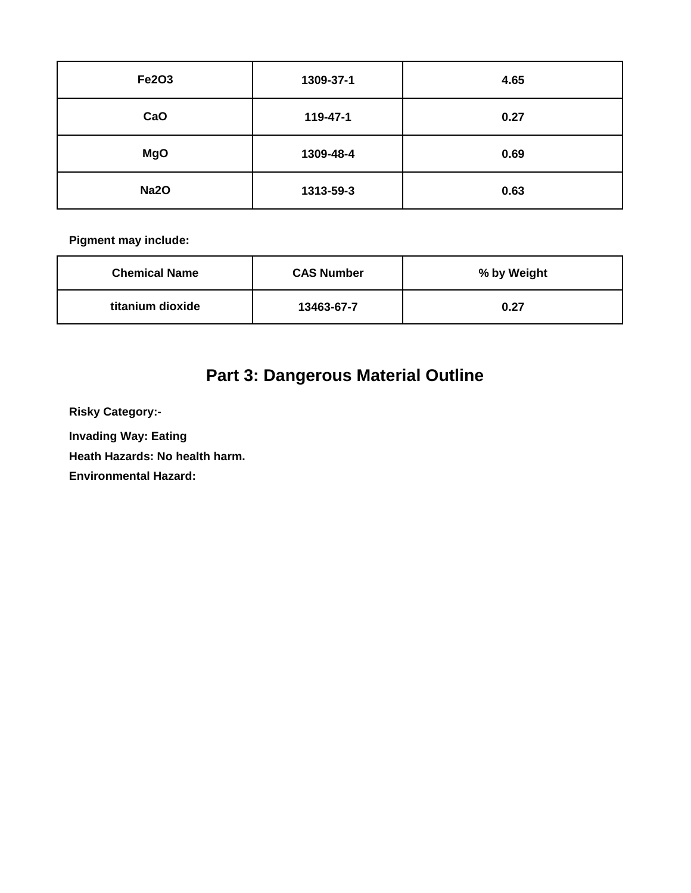| Fe2O3       | 1309-37-1 | 4.65 |
|-------------|-----------|------|
| CaO         | 119-47-1  | 0.27 |
| <b>MgO</b>  | 1309-48-4 | 0.69 |
| <b>Na2O</b> | 1313-59-3 | 0.63 |

| <b>Chemical Name</b> | <b>CAS Number</b> | % by Weight |
|----------------------|-------------------|-------------|
| titanium dioxide     | 13463-67-7        | 0.27        |

# **Part 3: Dangerous Material Outline**

**Risky Category:-**

**Invading Way: Eating** 

**Heath Hazards: No health harm.**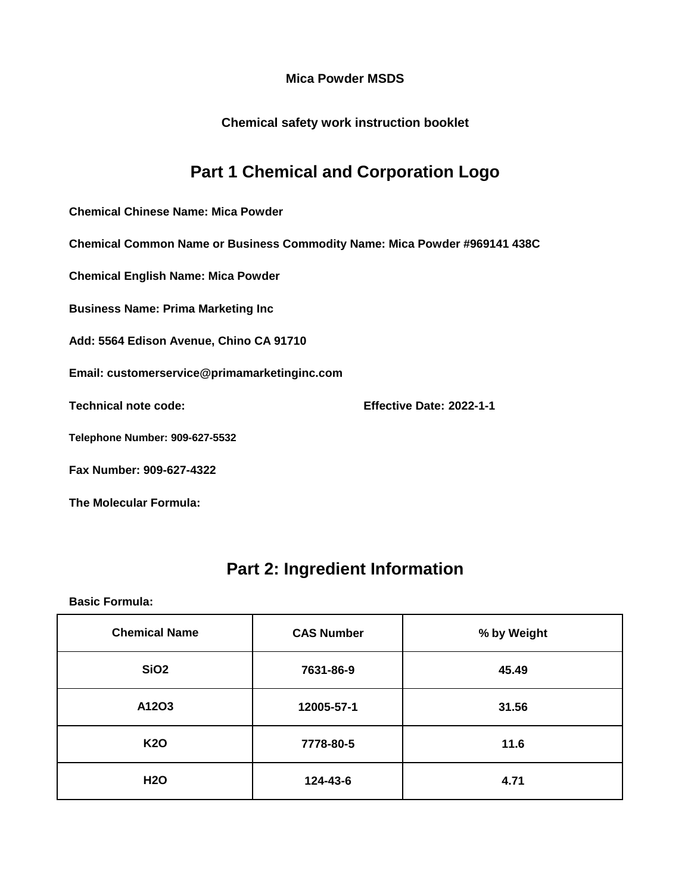**Chemical safety work instruction booklet**

## **Part 1 Chemical and Corporation Logo**

**Chemical Chinese Name: Mica Powder**

**Chemical Common Name or Business Commodity Name: Mica Powder #969141 438C**

**Chemical English Name: Mica Powder**

**Business Name: Prima Marketing Inc**

**Add: 5564 Edison Avenue, Chino CA 91710**

**Email: customerservice@primamarketinginc.com**

**Technical note code: Effective Date: 2022-1-1**

**Telephone Number: 909-627-5532**

**Fax Number: 909-627-4322**

**The Molecular Formula:**

### **Part 2: Ingredient Information**

| <b>Chemical Name</b> | <b>CAS Number</b> | % by Weight |
|----------------------|-------------------|-------------|
| SiO <sub>2</sub>     | 7631-86-9         | 45.49       |
| A12O3                | 12005-57-1        | 31.56       |
| <b>K20</b>           | 7778-80-5         | 11.6        |
| <b>H2O</b>           | 124-43-6          | 4.71        |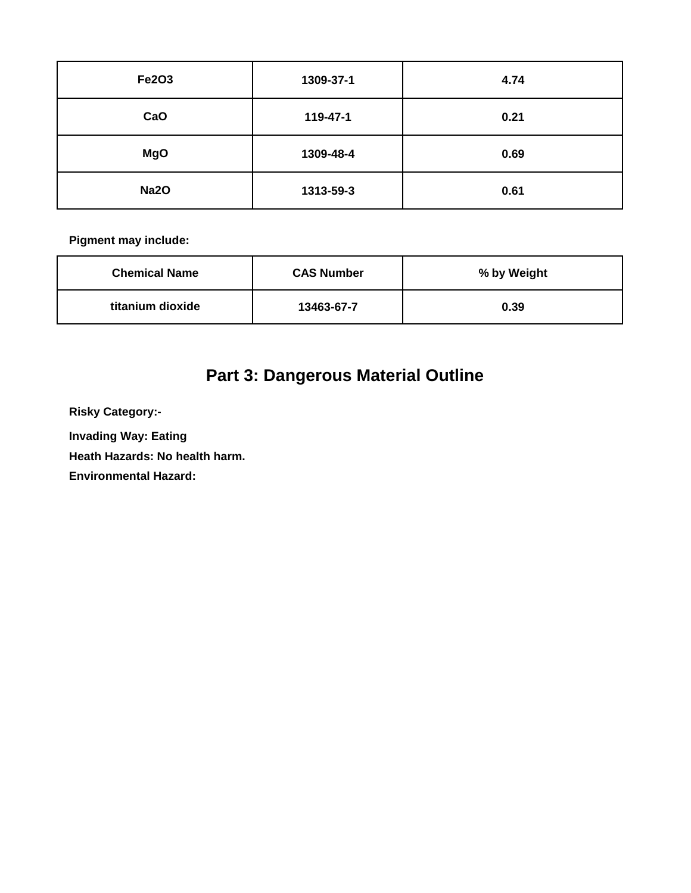| <b>Fe2O3</b> | 1309-37-1 | 4.74 |
|--------------|-----------|------|
| CaO          | 119-47-1  | 0.21 |
| <b>MgO</b>   | 1309-48-4 | 0.69 |
| <b>Na2O</b>  | 1313-59-3 | 0.61 |

| <b>Chemical Name</b> | <b>CAS Number</b> | % by Weight |
|----------------------|-------------------|-------------|
| titanium dioxide     | 13463-67-7        | 0.39        |

# **Part 3: Dangerous Material Outline**

**Risky Category:-**

**Invading Way: Eating** 

**Heath Hazards: No health harm.**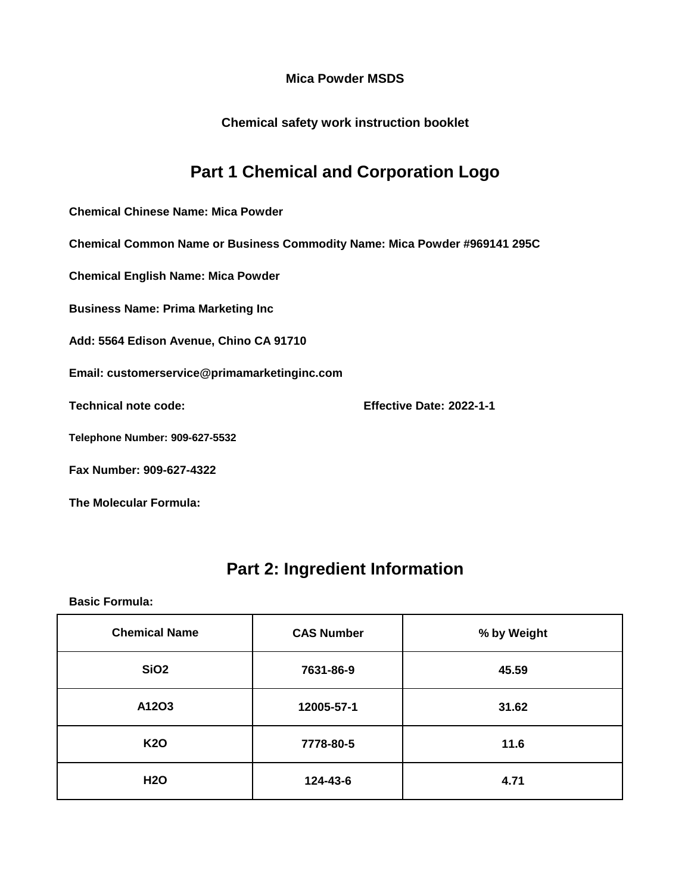**Chemical safety work instruction booklet**

## **Part 1 Chemical and Corporation Logo**

**Chemical Chinese Name: Mica Powder**

**Chemical Common Name or Business Commodity Name: Mica Powder #969141 295C**

**Chemical English Name: Mica Powder**

**Business Name: Prima Marketing Inc**

**Add: 5564 Edison Avenue, Chino CA 91710**

**Email: customerservice@primamarketinginc.com**

**Technical note code: Effective Date: 2022-1-1**

**Telephone Number: 909-627-5532**

**Fax Number: 909-627-4322**

**The Molecular Formula:**

### **Part 2: Ingredient Information**

| <b>Chemical Name</b> | <b>CAS Number</b> | % by Weight |
|----------------------|-------------------|-------------|
| SiO <sub>2</sub>     | 7631-86-9         | 45.59       |
| A12O3                | 12005-57-1        | 31.62       |
| <b>K20</b>           | 7778-80-5         | 11.6        |
| <b>H2O</b>           | 124-43-6          | 4.71        |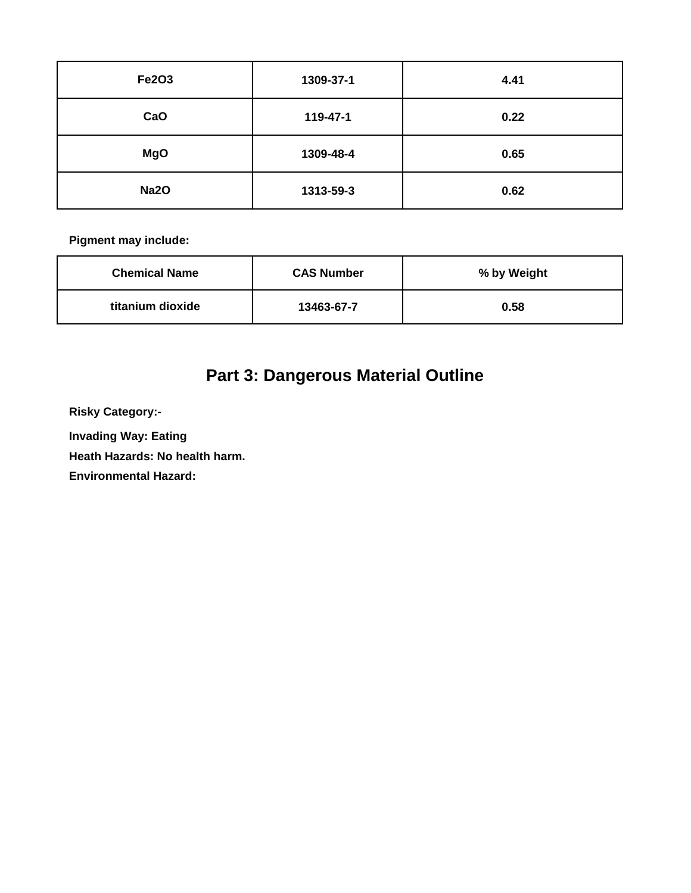| <b>Fe2O3</b> | 1309-37-1 | 4.41 |
|--------------|-----------|------|
| CaO          | 119-47-1  | 0.22 |
| <b>MgO</b>   | 1309-48-4 | 0.65 |
| <b>Na2O</b>  | 1313-59-3 | 0.62 |

| <b>Chemical Name</b> | <b>CAS Number</b> | % by Weight |
|----------------------|-------------------|-------------|
| titanium dioxide     | 13463-67-7        | 0.58        |

# **Part 3: Dangerous Material Outline**

**Risky Category:-**

**Invading Way: Eating** 

**Heath Hazards: No health harm.**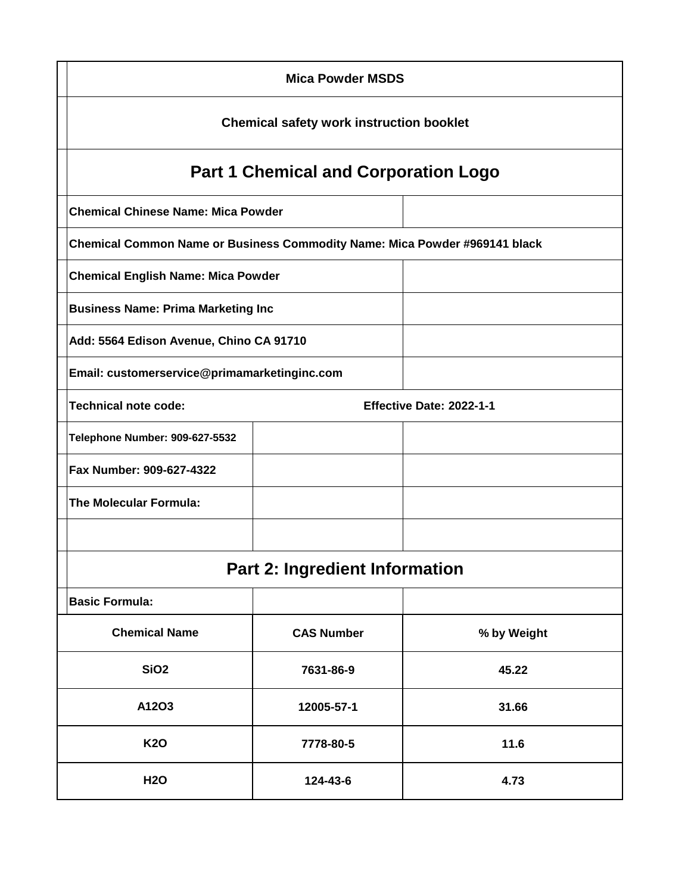| <b>Mica Powder MSDS</b>                                                    |                                              |             |  |  |
|----------------------------------------------------------------------------|----------------------------------------------|-------------|--|--|
| <b>Chemical safety work instruction booklet</b>                            |                                              |             |  |  |
| <b>Part 1 Chemical and Corporation Logo</b>                                |                                              |             |  |  |
| <b>Chemical Chinese Name: Mica Powder</b>                                  |                                              |             |  |  |
| Chemical Common Name or Business Commodity Name: Mica Powder #969141 black |                                              |             |  |  |
| <b>Chemical English Name: Mica Powder</b>                                  |                                              |             |  |  |
| <b>Business Name: Prima Marketing Inc</b>                                  |                                              |             |  |  |
|                                                                            | Add: 5564 Edison Avenue, Chino CA 91710      |             |  |  |
|                                                                            | Email: customerservice@primamarketinginc.com |             |  |  |
| <b>Technical note code:</b><br>Effective Date: 2022-1-1                    |                                              |             |  |  |
| <b>Telephone Number: 909-627-5532</b>                                      |                                              |             |  |  |
| Fax Number: 909-627-4322                                                   |                                              |             |  |  |
| <b>The Molecular Formula:</b>                                              |                                              |             |  |  |
|                                                                            |                                              |             |  |  |
| <b>Part 2: Ingredient Information</b>                                      |                                              |             |  |  |
| <b>Basic Formula:</b>                                                      |                                              |             |  |  |
| <b>Chemical Name</b>                                                       | <b>CAS Number</b>                            | % by Weight |  |  |
| SiO <sub>2</sub>                                                           | 7631-86-9                                    | 45.22       |  |  |
| A12O3                                                                      | 12005-57-1                                   | 31.66       |  |  |
| <b>K20</b>                                                                 | 7778-80-5                                    | 11.6        |  |  |
| <b>H2O</b>                                                                 | 124-43-6                                     | 4.73        |  |  |